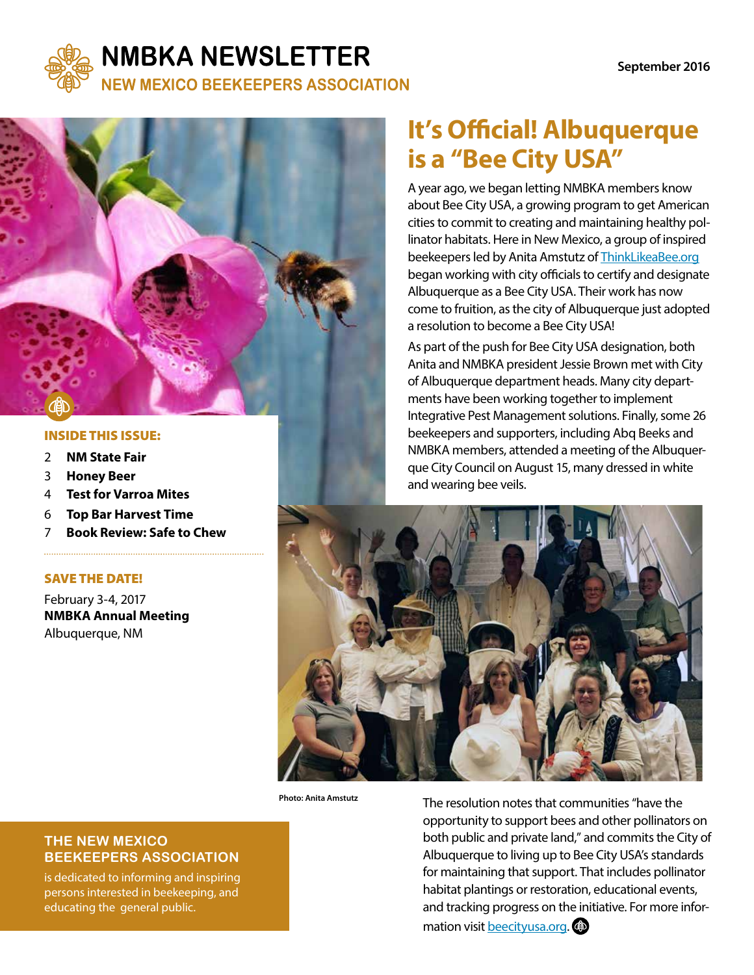

## **NMBKA NEWSLETTER**

**NEW MEXICO BEEKEEPERS ASSOCIATION** 



#### INSIDE THIS ISSUE:

- 2 **NM State Fair**
- 3 **Honey Beer**
- 4 **Test for Varroa Mites**
- 6 **Top Bar Harvest Time**
- 7 **Book Review: Safe to Chew**

#### SAVE THE DATE!

February 3-4, 2017 **NMBKA Annual Meeting**  Albuquerque, NM

# **It's Official! Albuquerque is a "Bee City USA"**

A year ago, we began letting NMBKA members know about Bee City USA, a growing program to get American cities to commit to creating and maintaining healthy pollinator habitats. Here in New Mexico, a group of inspired beekeepers led by Anita Amstutz of ThinkLikeaBee.org began working with city officials to certify and designate Albuquerque as a Bee City USA. Their work has now come to fruition, as the city of Albuquerque just adopted a resolution to become a Bee City USA!

As part of the push for Bee City USA designation, both Anita and NMBKA president Jessie Brown met with City of Albuquerque department heads. Many city departments have been working together to implement Integrative Pest Management solutions. Finally, some 26 beekeepers and supporters, including Abq Beeks and NMBKA members, attended a meeting of the Albuquerque City Council on August 15, many dressed in white and wearing bee veils.



**Photo: Anita Amstutz**

The resolution notes that communities "have the opportunity to support bees and other pollinators on both public and private land," and commits the City of Albuquerque to living up to Bee City USA's standards for maintaining that support. That includes pollinator habitat plantings or restoration, educational events, and tracking progress on the initiative. For more information visit beecityusa.org. **@** 

#### **THE NEW MEXICO BEEKEEPERS ASSOCIATION**

is dedicated to informing and inspiring persons interested in beekeeping, and educating the general public.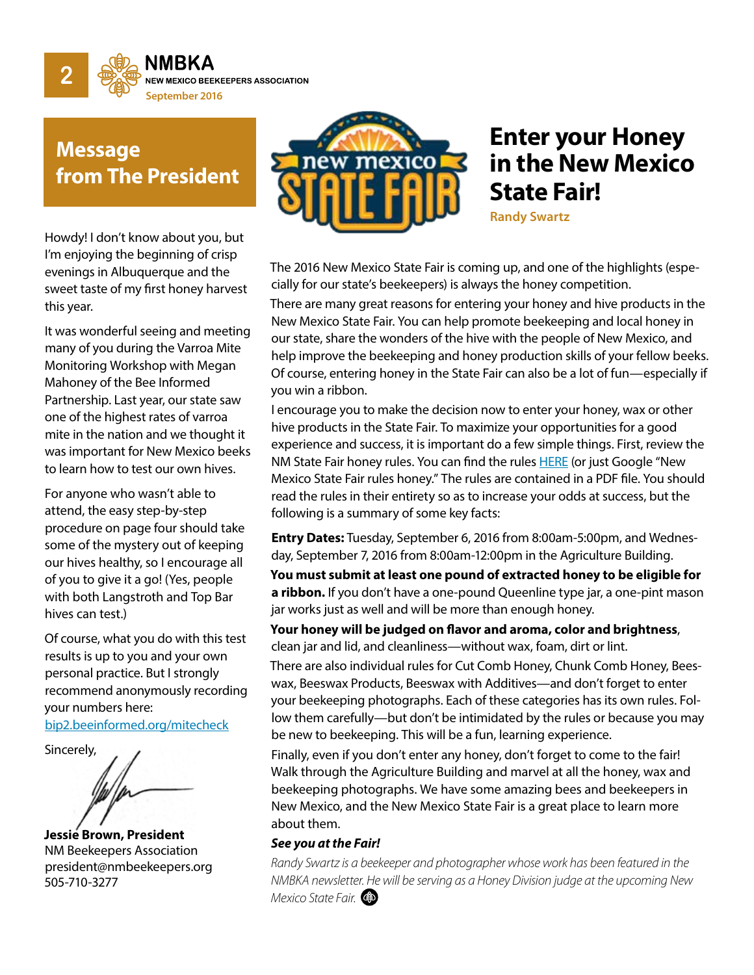

## **Message from The President**

Howdy! I don't know about you, but I'm enjoying the beginning of crisp evenings in Albuquerque and the sweet taste of my first honey harvest this year.

It was wonderful seeing and meeting many of you during the Varroa Mite Monitoring Workshop with Megan Mahoney of the Bee Informed Partnership. Last year, our state saw one of the highest rates of varroa mite in the nation and we thought it was important for New Mexico beeks to learn how to test our own hives.

For anyone who wasn't able to attend, the easy step-by-step procedure on page four should take some of the mystery out of keeping our hives healthy, so I encourage all of you to give it a go! (Yes, people with both Langstroth and Top Bar hives can test.)

Of course, what you do with this test results is up to you and your own personal practice. But I strongly recommend anonymously recording your numbers here:

bip2.beeinformed.org/mitecheck





**Jessie Brown, President**  NM Beekeepers Association president@nmbeekeepers.org 505-710-3277



# **Enter your Honey in the New Mexico State Fair!**

**Randy Swartz**

The 2016 New Mexico State Fair is coming up, and one of the highlights (especially for our state's beekeepers) is always the honey competition.

There are many great reasons for entering your honey and hive products in the New Mexico State Fair. You can help promote beekeeping and local honey in our state, share the wonders of the hive with the people of New Mexico, and help improve the beekeeping and honey production skills of your fellow beeks. Of course, entering honey in the State Fair can also be a lot of fun—especially if you win a ribbon.

I encourage you to make the decision now to enter your honey, wax or other hive products in the State Fair. To maximize your opportunities for a good experience and success, it is important do a few simple things. First, review the NM State Fair honey rules. You can find the rules HERE (or just Google "New Mexico State Fair rules honey." The rules are contained in a PDF file. You should read the rules in their entirety so as to increase your odds at success, but the following is a summary of some key facts:

**Entry Dates:** Tuesday, September 6, 2016 from 8:00am-5:00pm, and Wednesday, September 7, 2016 from 8:00am-12:00pm in the Agriculture Building.

**You must submit at least one pound of extracted honey to be eligible for a ribbon.** If you don't have a one-pound Queenline type jar, a one-pint mason jar works just as well and will be more than enough honey.

**Your honey will be judged on flavor and aroma, color and brightness**, clean jar and lid, and cleanliness—without wax, foam, dirt or lint.

There are also individual rules for Cut Comb Honey, Chunk Comb Honey, Beeswax, Beeswax Products, Beeswax with Additives—and don't forget to enter your beekeeping photographs. Each of these categories has its own rules. Follow them carefully—but don't be intimidated by the rules or because you may be new to beekeeping. This will be a fun, learning experience.

Finally, even if you don't enter any honey, don't forget to come to the fair! Walk through the Agriculture Building and marvel at all the honey, wax and beekeeping photographs. We have some amazing bees and beekeepers in New Mexico, and the New Mexico State Fair is a great place to learn more about them.

#### *See you at the Fair!*

*Randy Swartz is a beekeeper and photographer whose work has been featured in the NMBKA newsletter. He will be serving as a Honey Division judge at the upcoming New Mexico State Fair.*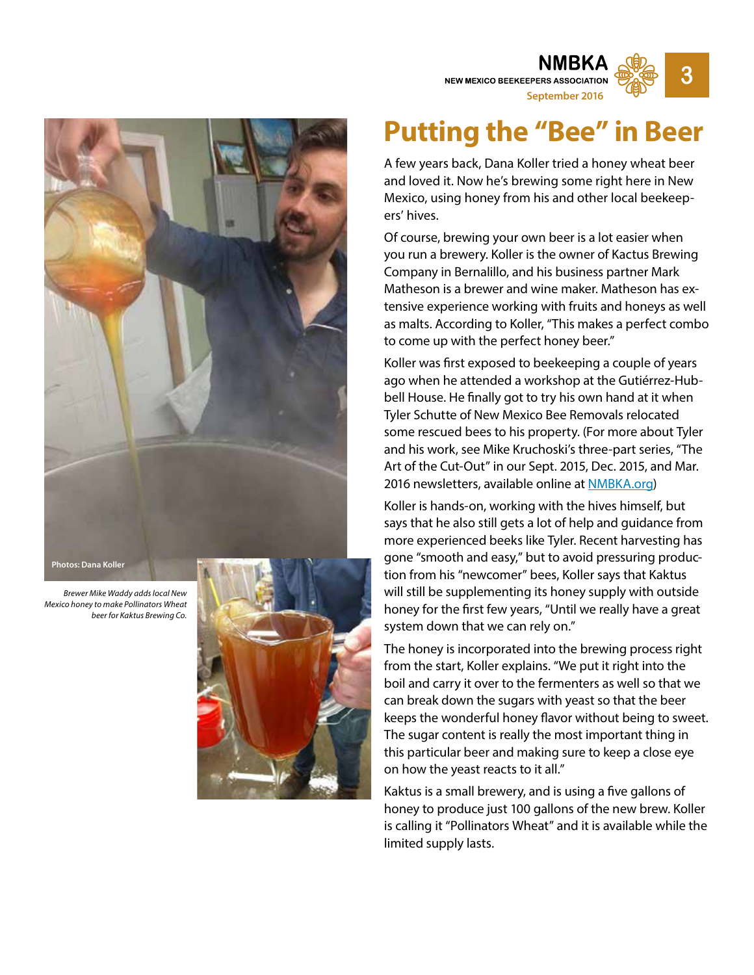

**Photos: Dana Koller**

*Brewer Mike Waddy adds local New Mexico honey to make Pollinators Wheat beer for Kaktus Brewing Co.*



# **Putting the "Bee" in Beer**

**NEW MEXICO BEEKEEPERS ASSOCIATION** 

**September 2016**

**3**

A few years back, Dana Koller tried a honey wheat beer and loved it. Now he's brewing some right here in New Mexico, using honey from his and other local beekeep ers' hives.

Of course, brewing your own beer is a lot easier when you run a brewery. Koller is the owner of Kactus Brewing Company in Bernalillo, and his business partner Mark Matheson is a brewer and wine maker. Matheson has ex tensive experience working with fruits and honeys as well as malts. According to Koller, "This makes a perfect combo to come up with the perfect honey beer."

Koller was first exposed to beekeeping a couple of years ago when he attended a workshop at the Gutiérrez-Hub bell House. He finally got to try his own hand at it when Tyler Schutte of New Mexico Bee Removals relocated some rescued bees to his property. (For more about Tyler and his work, see Mike Kruchoski's three-part series, "The Art of the Cut-Out" in our Sept. 2015, Dec. 2015, and Mar. 2016 newsletters, available online at **NMBKA.org**)

Koller is hands-on, working with the hives himself, but says that he also still gets a lot of help and guidance from more experienced beeks like Tyler. Recent harvesting has gone "smooth and easy," but to avoid pressuring produc tion from his "newcomer" bees, Koller says that Kaktus will still be supplementing its honey supply with outside honey for the first few years, "Until we really have a great system down that we can rely on."

The honey is incorporated into the brewing process right from the start, Koller explains. "We put it right into the boil and carry it over to the fermenters as well so that we can break down the sugars with yeast so that the beer keeps the wonderful honey flavor without being to sweet. The sugar content is really the most important thing in this particular beer and making sure to keep a close eye on how the yeast reacts to it all."

Kaktus is a small brewery, and is using a five gallons of honey to produce just 100 gallons of the new brew. Koller is calling it "Pollinators Wheat" and it is available while the limited supply lasts.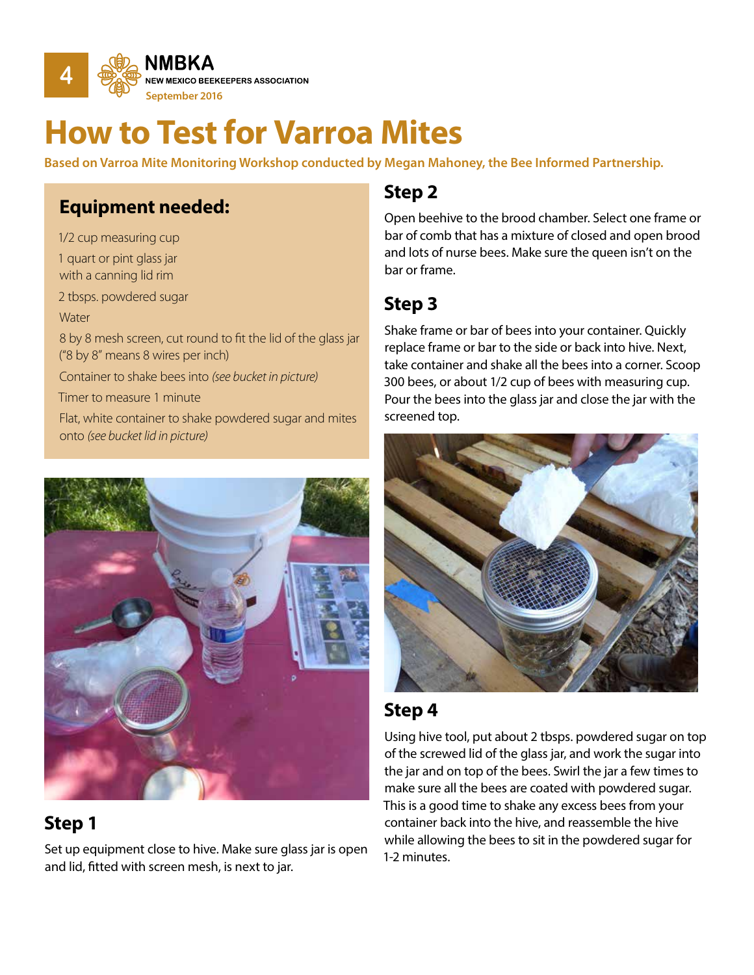

# **How to Test for Varroa Mites**

**Based on Varroa Mite Monitoring Workshop conducted by Megan Mahoney, the Bee Informed Partnership.**

## **Equipment needed:**

1/2 cup measuring cup 1 quart or pint glass jar with a canning lid rim 2 tbsps. powdered sugar **Water** 8 by 8 mesh screen, cut round to fit the lid of the glass jar ("8 by 8" means 8 wires per inch) Container to shake bees into *(see bucket in picture)* Timer to measure 1 minute

Flat, white container to shake powdered sugar and mites onto *(see bucket lid in picture)* 



## **Step 1**

Set up equipment close to hive. Make sure glass jar is open and lid, fitted with screen mesh, is next to jar.

## **Step 2**

Open beehive to the brood chamber. Select one frame or bar of comb that has a mixture of closed and open brood and lots of nurse bees. Make sure the queen isn't on the bar or frame.

## **Step 3**

Shake frame or bar of bees into your container. Quickly replace frame or bar to the side or back into hive. Next, take container and shake all the bees into a corner. Scoop 300 bees, or about 1/2 cup of bees with measuring cup. Pour the bees into the glass jar and close the jar with the screened top.



## **Step 4**

Using hive tool, put about 2 tbsps. powdered sugar on top of the screwed lid of the glass jar, and work the sugar into the jar and on top of the bees. Swirl the jar a few times to make sure all the bees are coated with powdered sugar. This is a good time to shake any excess bees from your container back into the hive, and reassemble the hive while allowing the bees to sit in the powdered sugar for 1-2 minutes.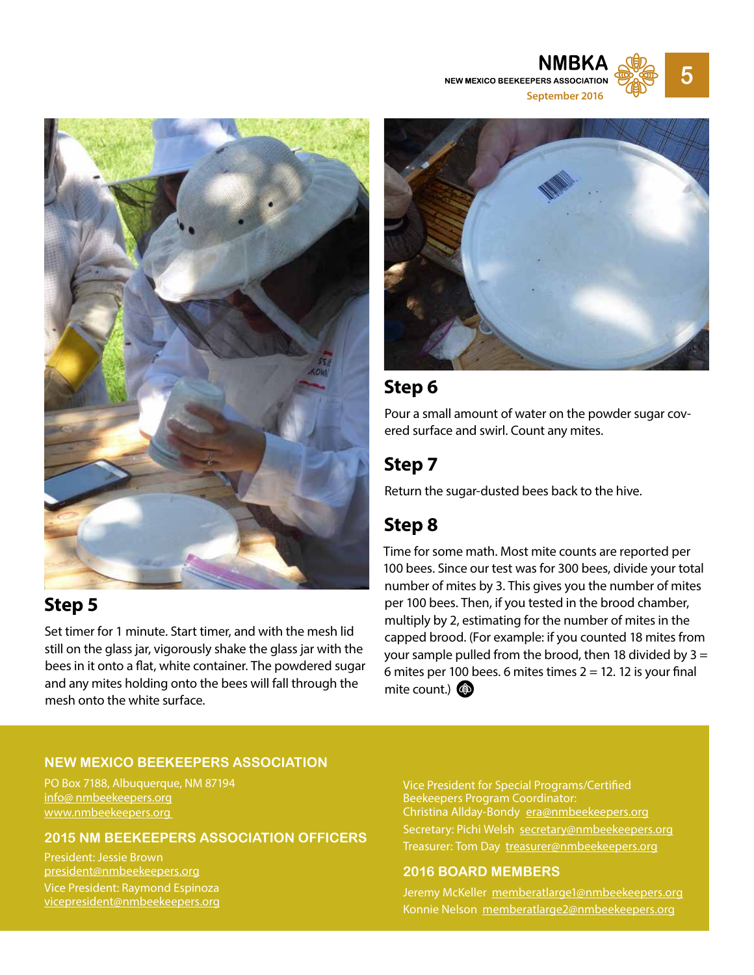**NEW MEXICO BEEKEEPERS ASSOCIATION September 2016**

**5**



## **Step 5**

Set timer for 1 minute. Start timer, and with the mesh lid still on the glass jar, vigorously shake the glass jar with the bees in it onto a flat, white container. The powdered sugar and any mites holding onto the bees will fall through the mesh onto the white surface.



## **Step 6**

Pour a small amount of water on the powder sugar covered surface and swirl. Count any mites.

## **Step 7**

Return the sugar-dusted bees back to the hive.

## **Step 8**

Time for some math. Most mite counts are reported per 100 bees. Since our test was for 300 bees, divide your total number of mites by 3. This gives you the number of mites per 100 bees. Then, if you tested in the brood chamber, multiply by 2, estimating for the number of mites in the capped brood. (For example: if you counted 18 mites from your sample pulled from the brood, then 18 divided by  $3 =$ 6 mites per 100 bees. 6 mites times  $2 = 12$ . 12 is your final mite count.) **4** 

#### **NEW MEXICO BEEKEEPERS ASSOCIATION**

PO Box 7188, Albuquerque, NM 87194 info@ nmbeekeepers.org www.nmbeekeepers.org

**2015 NM BEEKEEPERS ASSOCIATION OFFICERS**

President: Jessie Brown president@nmbeekeepers.org Vice President: Raymond Espinoza vicepresident@nmbeekeepers.org Vice President for Special Programs/Certified Beekeepers Program Coordinator: Christina Allday-Bondy era@nmbeekeepers.org Secretary: Pichi Welsh secretary@nmbeekeepers.org Treasurer: Tom Day treasurer@nmbeekeepers.org

#### **2016 BOARD MEMBERS**

Jeremy McKeller memberatlarge1@nmbeekeepers.org Konnie Nelson memberatlarge2@nmbeekeepers.org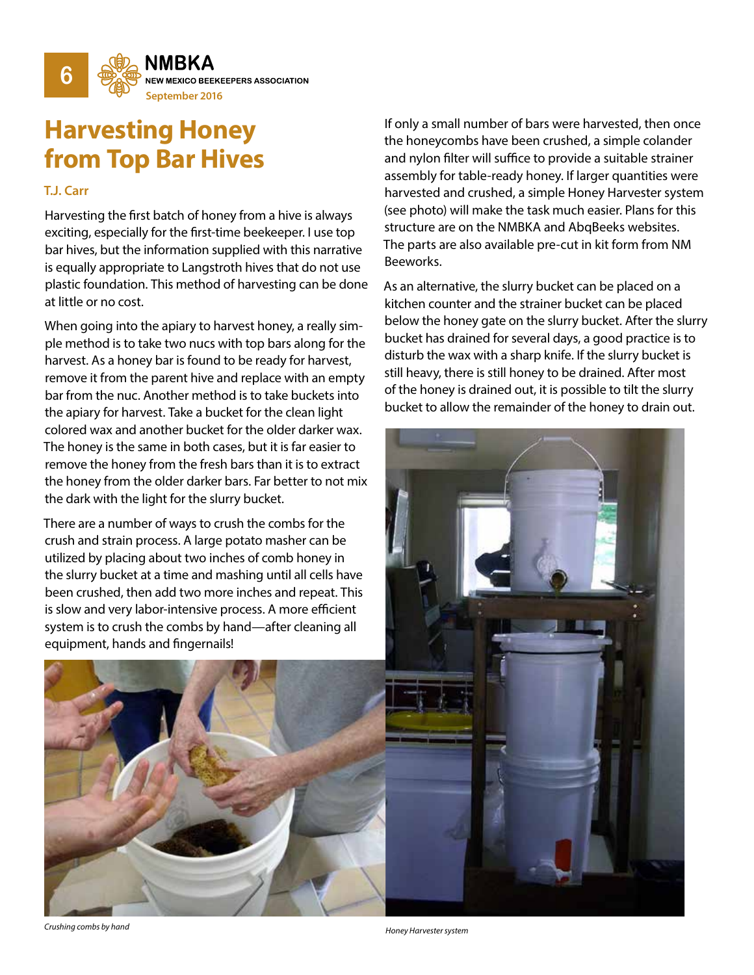

# **Harvesting Honey from Top Bar Hives**

#### **T.J. Carr**

Harvesting the first batch of honey from a hive is always exciting, especially for the first-time beekeeper. I use top bar hives, but the information supplied with this narrative is equally appropriate to Langstroth hives that do not use plastic foundation. This method of harvesting can be done at little or no cost.

When going into the apiary to harvest honey, a really simple method is to take two nucs with top bars along for the harvest. As a honey bar is found to be ready for harvest, remove it from the parent hive and replace with an empty bar from the nuc. Another method is to take buckets into the apiary for harvest. Take a bucket for the clean light colored wax and another bucket for the older darker wax. The honey is the same in both cases, but it is far easier to remove the honey from the fresh bars than it is to extract the honey from the older darker bars. Far better to not mix the dark with the light for the slurry bucket.

There are a number of ways to crush the combs for the crush and strain process. A large potato masher can be utilized by placing about two inches of comb honey in the slurry bucket at a time and mashing until all cells have been crushed, then add two more inches and repeat. This is slow and very labor-intensive process. A more efficient system is to crush the combs by hand—after cleaning all equipment, hands and fingernails!

If only a small number of bars were harvested, then once the honeycombs have been crushed, a simple colander and nylon filter will suffice to provide a suitable strainer assembly for table-ready honey. If larger quantities were harvested and crushed, a simple Honey Harvester system (see photo) will make the task much easier. Plans for this structure are on the NMBKA and AbqBeeks websites. The parts are also available pre-cut in kit form from NM Beeworks.

As an alternative, the slurry bucket can be placed on a kitchen counter and the strainer bucket can be placed below the honey gate on the slurry bucket. After the slurry bucket has drained for several days, a good practice is to disturb the wax with a sharp knife. If the slurry bucket is still heavy, there is still honey to be drained. After most of the honey is drained out, it is possible to tilt the slurry bucket to allow the remainder of the honey to drain out.



*Crushing combs by hand Honey Harvester system*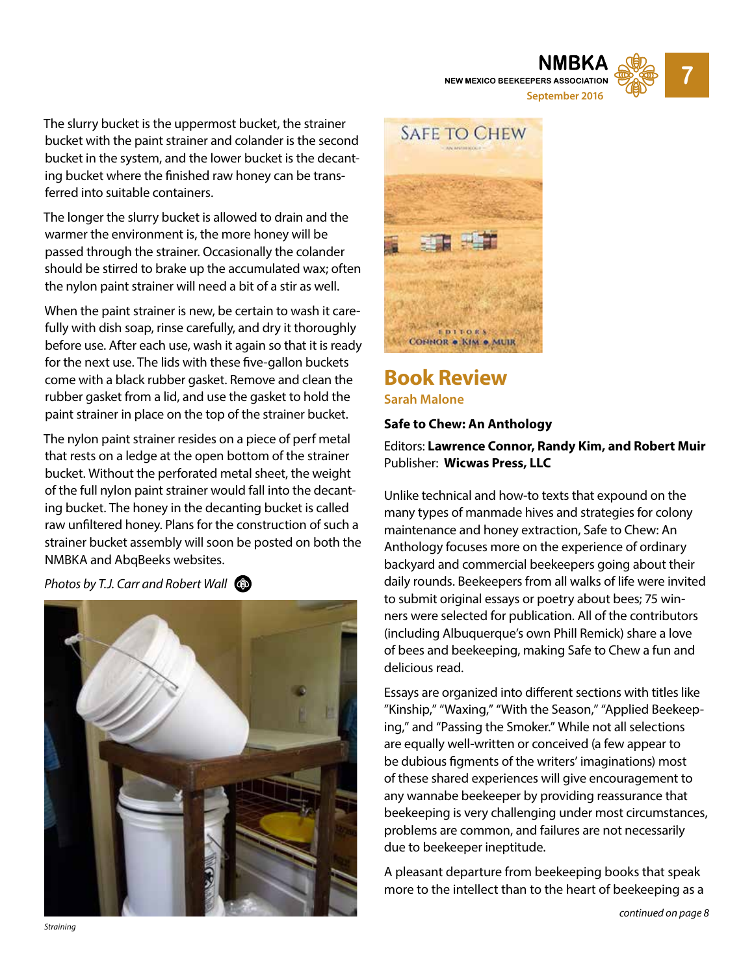**NEW MEXICO BEEKEEPERS ASSOCIATION September 2016**



The slurry bucket is the uppermost bucket, the strainer bucket with the paint strainer and colander is the second bucket in the system, and the lower bucket is the decanting bucket where the finished raw honey can be transferred into suitable containers.

The longer the slurry bucket is allowed to drain and the warmer the environment is, the more honey will be passed through the strainer. Occasionally the colander should be stirred to brake up the accumulated wax; often the nylon paint strainer will need a bit of a stir as well.

When the paint strainer is new, be certain to wash it carefully with dish soap, rinse carefully, and dry it thoroughly before use. After each use, wash it again so that it is ready for the next use. The lids with these five-gallon buckets come with a black rubber gasket. Remove and clean the rubber gasket from a lid, and use the gasket to hold the paint strainer in place on the top of the strainer bucket.

The nylon paint strainer resides on a piece of perf metal that rests on a ledge at the open bottom of the strainer bucket. Without the perforated metal sheet, the weight of the full nylon paint strainer would fall into the decanting bucket. The honey in the decanting bucket is called raw unfiltered honey. Plans for the construction of such a strainer bucket assembly will soon be posted on both the NMBKA and AbqBeeks websites.

*Photos by T.J. Carr and Robert Wall* 





#### **Book Review Sarah Malone**

#### **Safe to Chew: An Anthology**

#### Editors: **Lawrence Connor, Randy Kim, and Robert Muir** Publisher: **Wicwas Press, LLC**

Unlike technical and how-to texts that expound on the many types of manmade hives and strategies for colony maintenance and honey extraction, Safe to Chew: An Anthology focuses more on the experience of ordinary backyard and commercial beekeepers going about their daily rounds. Beekeepers from all walks of life were invited to submit original essays or poetry about bees; 75 winners were selected for publication. All of the contributors (including Albuquerque's own Phill Remick) share a love of bees and beekeeping, making Safe to Chew a fun and delicious read.

Essays are organized into different sections with titles like "Kinship," "Waxing," "With the Season," "Applied Beekeeping," and "Passing the Smoker." While not all selections are equally well-written or conceived (a few appear to be dubious figments of the writers' imaginations) most of these shared experiences will give encouragement to any wannabe beekeeper by providing reassurance that beekeeping is very challenging under most circumstances, problems are common, and failures are not necessarily due to beekeeper ineptitude.

A pleasant departure from beekeeping books that speak more to the intellect than to the heart of beekeeping as a